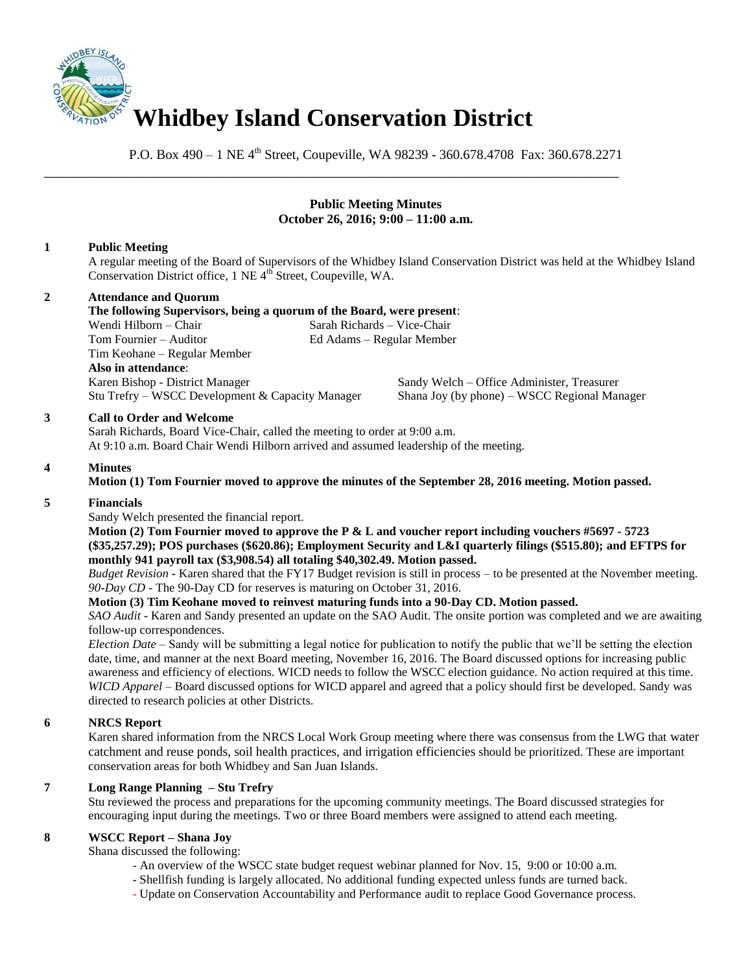

P.O. Box 490 – 1 NE 4<sup>th</sup> Street, Coupeville, WA 98239 - 360.678.4708 Fax: 360.678.2271

\_\_\_\_\_\_\_\_\_\_\_\_\_\_\_\_\_\_\_\_\_\_\_\_\_\_\_\_\_\_\_\_\_\_\_\_\_\_\_\_\_\_\_\_\_\_\_\_\_\_\_\_\_\_\_\_\_\_\_\_\_\_\_\_\_\_\_\_\_\_\_\_\_\_\_\_\_\_

## **Public Meeting Minutes October 26, 2016; 9:00 – 11:00 a.m.**

## **1 Public Meeting**

A regular meeting of the Board of Supervisors of the Whidbey Island Conservation District was held at the Whidbey Island Conservation District office, 1 NE 4<sup>th</sup> Street, Coupeville, WA.

# **2 Attendance and Quorum**

**The following Supervisors, being a quorum of the Board, were present**: Wendi Hilborn – Chair Sarah Richards – Vice-Chair Tom Fournier – Auditor Ed Adams – Regular Member Tim Keohane – Regular Member **Also in attendance**: Karen Bishop - District Manager Sandy Welch – Office Administer, Treasurer

Stu Trefry – WSCC Development & Capacity Manager Shana Joy (by phone) – WSCC Regional Manager

## **3 Call to Order and Welcome**

Sarah Richards, Board Vice-Chair, called the meeting to order at 9:00 a.m. At 9:10 a.m. Board Chair Wendi Hilborn arrived and assumed leadership of the meeting.

## **4 Minutes**

**Motion (1) Tom Fournier moved to approve the minutes of the September 28, 2016 meeting. Motion passed.** 

## **5 Financials**

Sandy Welch presented the financial report.

**Motion (2) Tom Fournier moved to approve the P & L and voucher report including vouchers #5697 - 5723 (\$35,257.29); POS purchases (\$620.86); Employment Security and L&I quarterly filings (\$515.80); and EFTPS for monthly 941 payroll tax (\$3,908.54) all totaling \$40,302.49. Motion passed.** 

*Budget Revision* **-** Karen shared that the FY17 Budget revision is still in process – to be presented at the November meeting. *90-Day CD* - The 90-Day CD for reserves is maturing on October 31, 2016.

## **Motion (3) Tim Keohane moved to reinvest maturing funds into a 90-Day CD. Motion passed.**

*SAO Audit* - Karen and Sandy presented an update on the SAO Audit. The onsite portion was completed and we are awaiting follow-up correspondences.

*Election Date* – Sandy will be submitting a legal notice for publication to notify the public that we'll be setting the election date, time, and manner at the next Board meeting, November 16, 2016. The Board discussed options for increasing public awareness and efficiency of elections. WICD needs to follow the WSCC election guidance. No action required at this time. *WICD Apparel* – Board discussed options for WICD apparel and agreed that a policy should first be developed. Sandy was directed to research policies at other Districts.

# **6 NRCS Report**

Karen shared information from the NRCS Local Work Group meeting where there was consensus from the LWG that water catchment and reuse ponds, soil health practices, and irrigation efficiencies should be prioritized. These are important conservation areas for both Whidbey and San Juan Islands.

## **7 Long Range Planning – Stu Trefry**

Stu reviewed the process and preparations for the upcoming community meetings. The Board discussed strategies for encouraging input during the meetings. Two or three Board members were assigned to attend each meeting.

## **8 WSCC Report – Shana Joy**

Shana discussed the following:

- An overview of the WSCC state budget request webinar planned for Nov. 15, 9:00 or 10:00 a.m.
- Shellfish funding is largely allocated. No additional funding expected unless funds are turned back.
- Update on Conservation Accountability and Performance audit to replace Good Governance process.